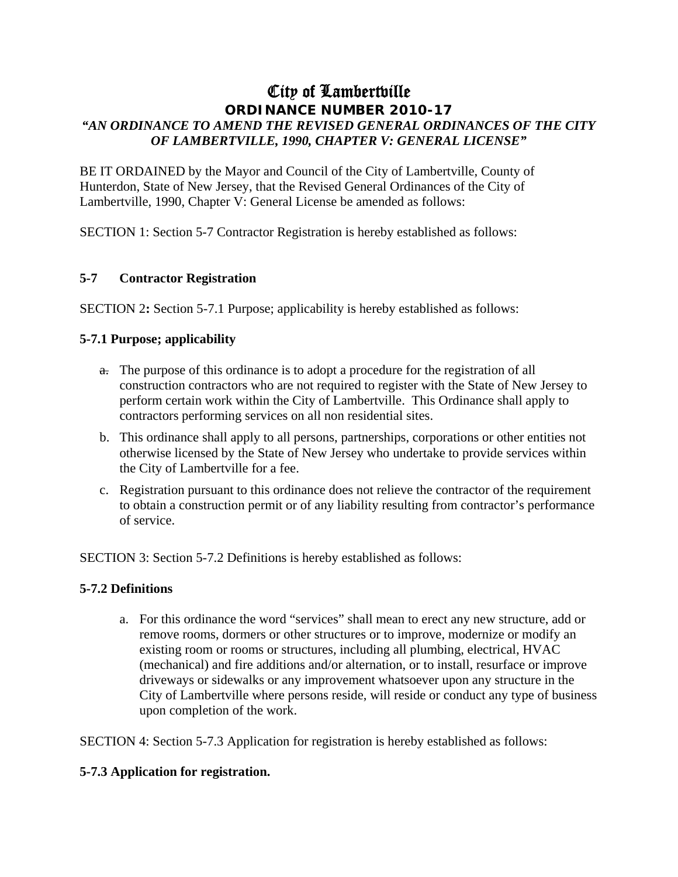# City of Lambertville **ORDINANCE NUMBER 2010-17**  *"AN ORDINANCE TO AMEND THE REVISED GENERAL ORDINANCES OF THE CITY OF LAMBERTVILLE, 1990, CHAPTER V: GENERAL LICENSE"*

BE IT ORDAINED by the Mayor and Council of the City of Lambertville, County of Hunterdon, State of New Jersey, that the Revised General Ordinances of the City of Lambertville, 1990, Chapter V: General License be amended as follows:

SECTION 1: Section 5-7 Contractor Registration is hereby established as follows:

### **5-7 Contractor Registration**

SECTION 2**:** Section 5-7.1 Purpose; applicability is hereby established as follows:

### **5-7.1 Purpose; applicability**

- a. The purpose of this ordinance is to adopt a procedure for the registration of all construction contractors who are not required to register with the State of New Jersey to perform certain work within the City of Lambertville. This Ordinance shall apply to contractors performing services on all non residential sites.
- b. This ordinance shall apply to all persons, partnerships, corporations or other entities not otherwise licensed by the State of New Jersey who undertake to provide services within the City of Lambertville for a fee.
- c. Registration pursuant to this ordinance does not relieve the contractor of the requirement to obtain a construction permit or of any liability resulting from contractor's performance of service.

SECTION 3: Section 5-7.2 Definitions is hereby established as follows:

#### **5-7.2 Definitions**

a. For this ordinance the word "services" shall mean to erect any new structure, add or remove rooms, dormers or other structures or to improve, modernize or modify an existing room or rooms or structures, including all plumbing, electrical, HVAC (mechanical) and fire additions and/or alternation, or to install, resurface or improve driveways or sidewalks or any improvement whatsoever upon any structure in the City of Lambertville where persons reside, will reside or conduct any type of business upon completion of the work.

SECTION 4: Section 5-7.3 Application for registration is hereby established as follows:

## **5-7.3 Application for registration.**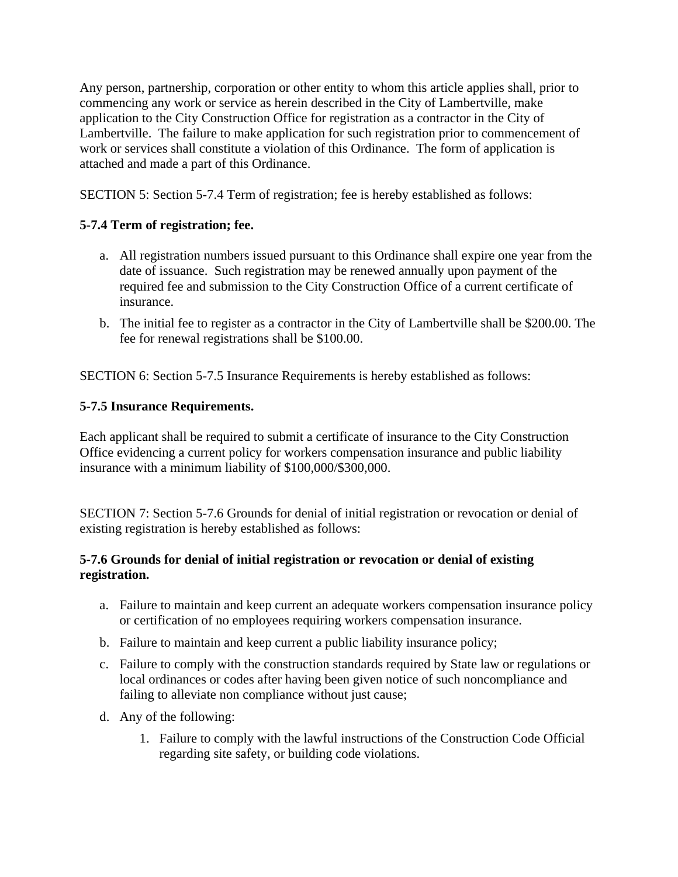Any person, partnership, corporation or other entity to whom this article applies shall, prior to commencing any work or service as herein described in the City of Lambertville, make application to the City Construction Office for registration as a contractor in the City of Lambertville. The failure to make application for such registration prior to commencement of work or services shall constitute a violation of this Ordinance. The form of application is attached and made a part of this Ordinance.

SECTION 5: Section 5-7.4 Term of registration; fee is hereby established as follows:

# **5-7.4 Term of registration; fee.**

- a. All registration numbers issued pursuant to this Ordinance shall expire one year from the date of issuance. Such registration may be renewed annually upon payment of the required fee and submission to the City Construction Office of a current certificate of insurance.
- b. The initial fee to register as a contractor in the City of Lambertville shall be \$200.00. The fee for renewal registrations shall be \$100.00.

SECTION 6: Section 5-7.5 Insurance Requirements is hereby established as follows:

# **5-7.5 Insurance Requirements.**

Each applicant shall be required to submit a certificate of insurance to the City Construction Office evidencing a current policy for workers compensation insurance and public liability insurance with a minimum liability of \$100,000/\$300,000.

SECTION 7: Section 5-7.6 Grounds for denial of initial registration or revocation or denial of existing registration is hereby established as follows:

## **5-7.6 Grounds for denial of initial registration or revocation or denial of existing registration.**

- a. Failure to maintain and keep current an adequate workers compensation insurance policy or certification of no employees requiring workers compensation insurance.
- b. Failure to maintain and keep current a public liability insurance policy;
- c. Failure to comply with the construction standards required by State law or regulations or local ordinances or codes after having been given notice of such noncompliance and failing to alleviate non compliance without just cause;
- d. Any of the following:
	- 1. Failure to comply with the lawful instructions of the Construction Code Official regarding site safety, or building code violations.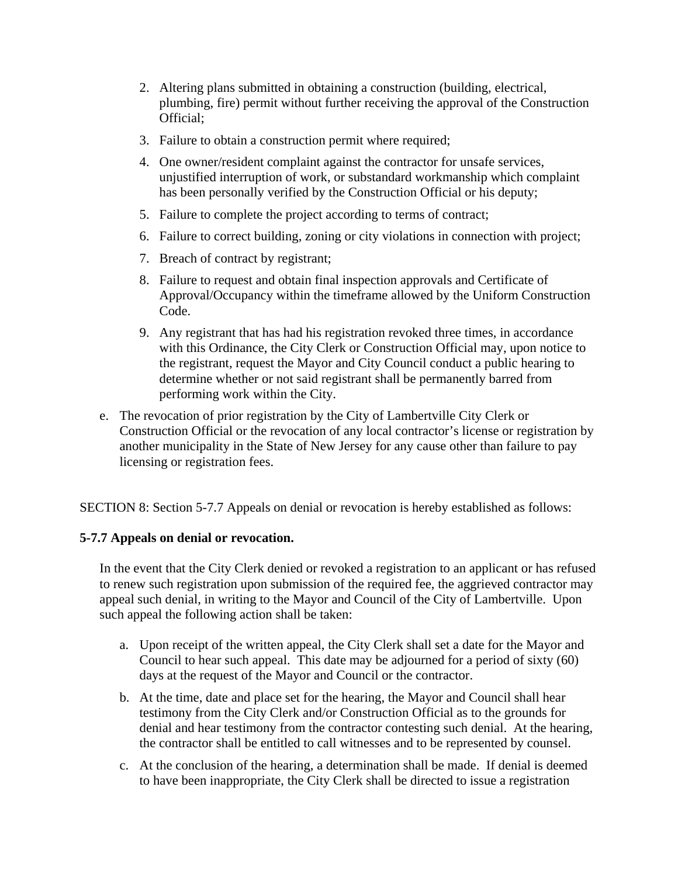- 2. Altering plans submitted in obtaining a construction (building, electrical, plumbing, fire) permit without further receiving the approval of the Construction Official;
- 3. Failure to obtain a construction permit where required;
- 4. One owner/resident complaint against the contractor for unsafe services, unjustified interruption of work, or substandard workmanship which complaint has been personally verified by the Construction Official or his deputy;
- 5. Failure to complete the project according to terms of contract;
- 6. Failure to correct building, zoning or city violations in connection with project;
- 7. Breach of contract by registrant;
- 8. Failure to request and obtain final inspection approvals and Certificate of Approval/Occupancy within the timeframe allowed by the Uniform Construction Code.
- 9. Any registrant that has had his registration revoked three times, in accordance with this Ordinance, the City Clerk or Construction Official may, upon notice to the registrant, request the Mayor and City Council conduct a public hearing to determine whether or not said registrant shall be permanently barred from performing work within the City.
- e. The revocation of prior registration by the City of Lambertville City Clerk or Construction Official or the revocation of any local contractor's license or registration by another municipality in the State of New Jersey for any cause other than failure to pay licensing or registration fees.

SECTION 8: Section 5-7.7 Appeals on denial or revocation is hereby established as follows:

## **5-7.7 Appeals on denial or revocation.**

In the event that the City Clerk denied or revoked a registration to an applicant or has refused to renew such registration upon submission of the required fee, the aggrieved contractor may appeal such denial, in writing to the Mayor and Council of the City of Lambertville. Upon such appeal the following action shall be taken:

- a. Upon receipt of the written appeal, the City Clerk shall set a date for the Mayor and Council to hear such appeal. This date may be adjourned for a period of sixty (60) days at the request of the Mayor and Council or the contractor.
- b. At the time, date and place set for the hearing, the Mayor and Council shall hear testimony from the City Clerk and/or Construction Official as to the grounds for denial and hear testimony from the contractor contesting such denial. At the hearing, the contractor shall be entitled to call witnesses and to be represented by counsel.
- c. At the conclusion of the hearing, a determination shall be made. If denial is deemed to have been inappropriate, the City Clerk shall be directed to issue a registration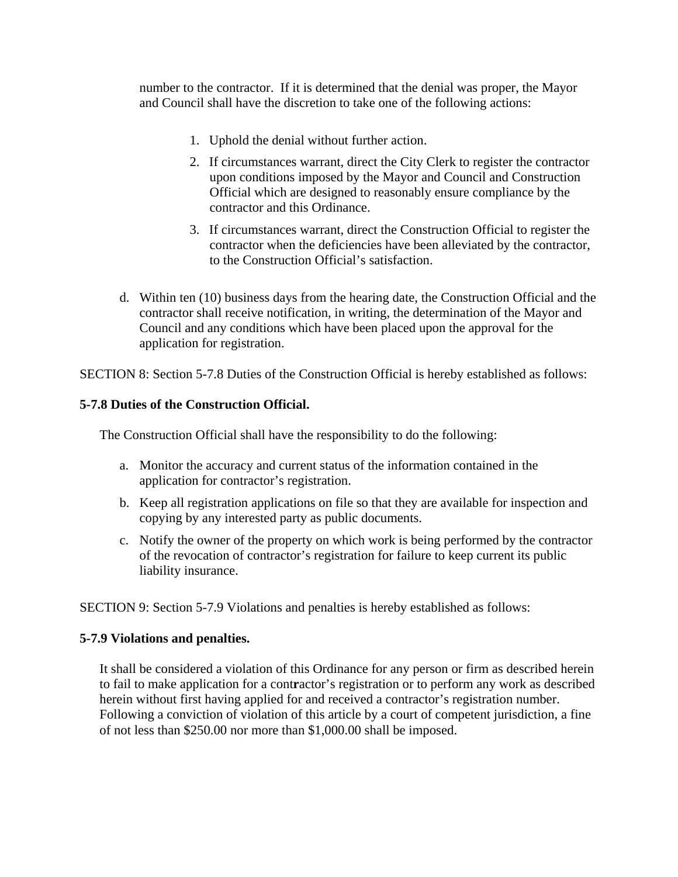number to the contractor. If it is determined that the denial was proper, the Mayor and Council shall have the discretion to take one of the following actions:

- 1. Uphold the denial without further action.
- 2. If circumstances warrant, direct the City Clerk to register the contractor upon conditions imposed by the Mayor and Council and Construction Official which are designed to reasonably ensure compliance by the contractor and this Ordinance.
- 3. If circumstances warrant, direct the Construction Official to register the contractor when the deficiencies have been alleviated by the contractor, to the Construction Official's satisfaction.
- d. Within ten (10) business days from the hearing date, the Construction Official and the contractor shall receive notification, in writing, the determination of the Mayor and Council and any conditions which have been placed upon the approval for the application for registration.

SECTION 8: Section 5-7.8 Duties of the Construction Official is hereby established as follows:

### **5-7.8 Duties of the Construction Official.**

The Construction Official shall have the responsibility to do the following:

- a. Monitor the accuracy and current status of the information contained in the application for contractor's registration.
- b. Keep all registration applications on file so that they are available for inspection and copying by any interested party as public documents.
- c. Notify the owner of the property on which work is being performed by the contractor of the revocation of contractor's registration for failure to keep current its public liability insurance.

SECTION 9: Section 5-7.9 Violations and penalties is hereby established as follows:

#### **5-7.9 Violations and penalties.**

It shall be considered a violation of this Ordinance for any person or firm as described herein to fail to make application for a cont**r**actor's registration or to perform any work as described herein without first having applied for and received a contractor's registration number. Following a conviction of violation of this article by a court of competent jurisdiction, a fine of not less than \$250.00 nor more than \$1,000.00 shall be imposed.